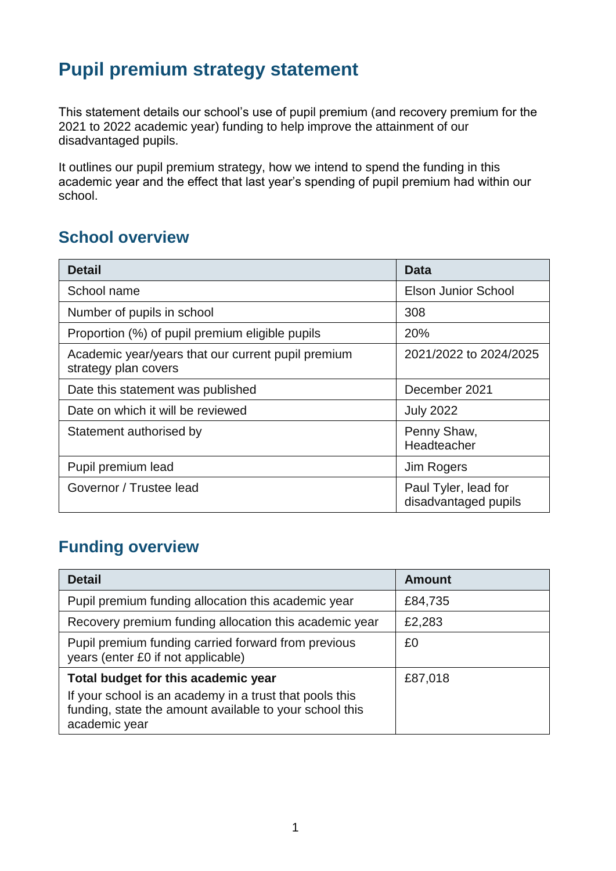## **Pupil premium strategy statement**

This statement details our school's use of pupil premium (and recovery premium for the 2021 to 2022 academic year) funding to help improve the attainment of our disadvantaged pupils.

It outlines our pupil premium strategy, how we intend to spend the funding in this academic year and the effect that last year's spending of pupil premium had within our school.

### **School overview**

| <b>Detail</b>                                                              | Data                                         |
|----------------------------------------------------------------------------|----------------------------------------------|
| School name                                                                | <b>Elson Junior School</b>                   |
| Number of pupils in school                                                 | 308                                          |
| Proportion (%) of pupil premium eligible pupils                            | 20%                                          |
| Academic year/years that our current pupil premium<br>strategy plan covers | 2021/2022 to 2024/2025                       |
| Date this statement was published                                          | December 2021                                |
| Date on which it will be reviewed                                          | <b>July 2022</b>                             |
| Statement authorised by                                                    | Penny Shaw,<br>Headteacher                   |
| Pupil premium lead                                                         | Jim Rogers                                   |
| Governor / Trustee lead                                                    | Paul Tyler, lead for<br>disadvantaged pupils |

### **Funding overview**

| <b>Detail</b>                                                                                                                                                              | <b>Amount</b> |
|----------------------------------------------------------------------------------------------------------------------------------------------------------------------------|---------------|
| Pupil premium funding allocation this academic year                                                                                                                        | £84,735       |
| Recovery premium funding allocation this academic year                                                                                                                     | £2,283        |
| Pupil premium funding carried forward from previous<br>years (enter £0 if not applicable)                                                                                  | £0            |
| Total budget for this academic year<br>If your school is an academy in a trust that pools this<br>funding, state the amount available to your school this<br>academic year | £87,018       |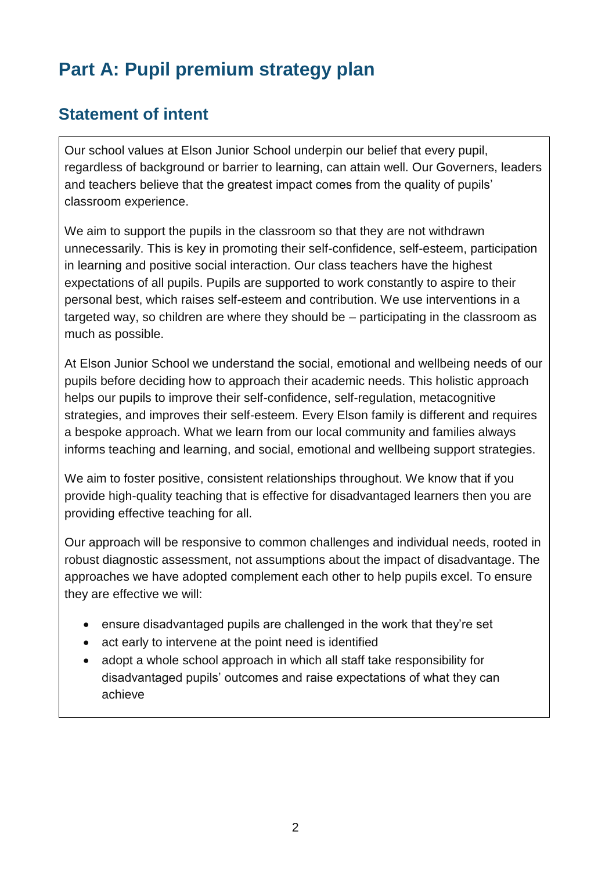# **Part A: Pupil premium strategy plan**

### **Statement of intent**

Our school values at Elson Junior School underpin our belief that every pupil, regardless of background or barrier to learning, can attain well. Our Governers, leaders and teachers believe that the greatest impact comes from the quality of pupils' classroom experience.

We aim to support the pupils in the classroom so that they are not withdrawn unnecessarily. This is key in promoting their self-confidence, self-esteem, participation in learning and positive social interaction. Our class teachers have the highest expectations of all pupils. Pupils are supported to work constantly to aspire to their personal best, which raises self-esteem and contribution. We use interventions in a targeted way, so children are where they should be – participating in the classroom as much as possible.

At Elson Junior School we understand the social, emotional and wellbeing needs of our pupils before deciding how to approach their academic needs. This holistic approach helps our pupils to improve their self-confidence, self-regulation, metacognitive strategies, and improves their self-esteem. Every Elson family is different and requires a bespoke approach. What we learn from our local community and families always informs teaching and learning, and social, emotional and wellbeing support strategies.

We aim to foster positive, consistent relationships throughout. We know that if you provide high-quality teaching that is effective for disadvantaged learners then you are providing effective teaching for all.

Our approach will be responsive to common challenges and individual needs, rooted in robust diagnostic assessment, not assumptions about the impact of disadvantage. The approaches we have adopted complement each other to help pupils excel. To ensure they are effective we will:

- ensure disadvantaged pupils are challenged in the work that they're set
- act early to intervene at the point need is identified
- adopt a whole school approach in which all staff take responsibility for disadvantaged pupils' outcomes and raise expectations of what they can achieve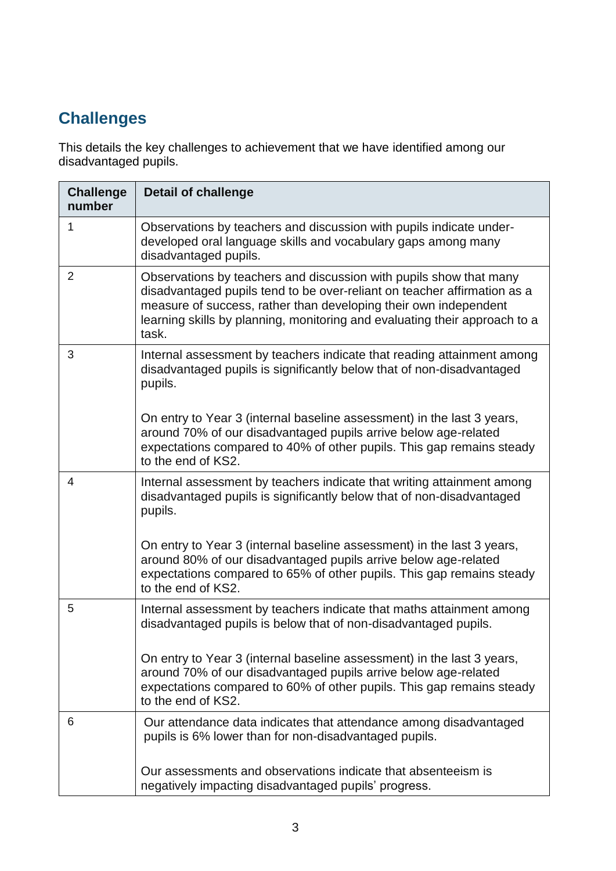## **Challenges**

This details the key challenges to achievement that we have identified among our disadvantaged pupils.

| <b>Challenge</b><br>number | <b>Detail of challenge</b>                                                                                                                                                                                                                                                                                |
|----------------------------|-----------------------------------------------------------------------------------------------------------------------------------------------------------------------------------------------------------------------------------------------------------------------------------------------------------|
| 1                          | Observations by teachers and discussion with pupils indicate under-<br>developed oral language skills and vocabulary gaps among many<br>disadvantaged pupils.                                                                                                                                             |
| $\overline{2}$             | Observations by teachers and discussion with pupils show that many<br>disadvantaged pupils tend to be over-reliant on teacher affirmation as a<br>measure of success, rather than developing their own independent<br>learning skills by planning, monitoring and evaluating their approach to a<br>task. |
| 3                          | Internal assessment by teachers indicate that reading attainment among<br>disadvantaged pupils is significantly below that of non-disadvantaged<br>pupils.                                                                                                                                                |
|                            | On entry to Year 3 (internal baseline assessment) in the last 3 years,<br>around 70% of our disadvantaged pupils arrive below age-related<br>expectations compared to 40% of other pupils. This gap remains steady<br>to the end of KS2.                                                                  |
| 4                          | Internal assessment by teachers indicate that writing attainment among<br>disadvantaged pupils is significantly below that of non-disadvantaged<br>pupils.                                                                                                                                                |
|                            | On entry to Year 3 (internal baseline assessment) in the last 3 years,<br>around 80% of our disadvantaged pupils arrive below age-related<br>expectations compared to 65% of other pupils. This gap remains steady<br>to the end of KS2.                                                                  |
| 5                          | Internal assessment by teachers indicate that maths attainment among<br>disadvantaged pupils is below that of non-disadvantaged pupils.                                                                                                                                                                   |
|                            | On entry to Year 3 (internal baseline assessment) in the last 3 years,<br>around 70% of our disadvantaged pupils arrive below age-related<br>expectations compared to 60% of other pupils. This gap remains steady<br>to the end of KS2.                                                                  |
| 6                          | Our attendance data indicates that attendance among disadvantaged<br>pupils is 6% lower than for non-disadvantaged pupils.                                                                                                                                                                                |
|                            | Our assessments and observations indicate that absenteeism is<br>negatively impacting disadvantaged pupils' progress.                                                                                                                                                                                     |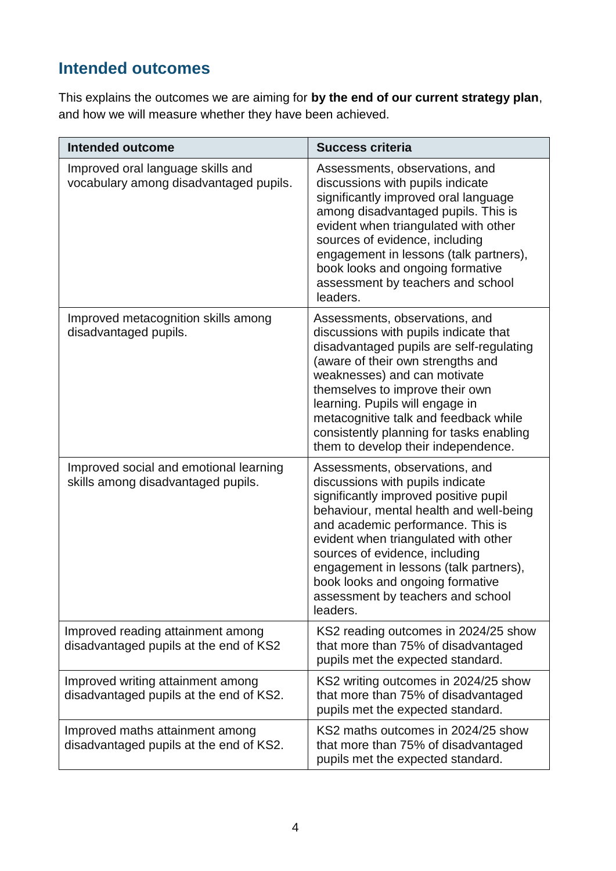### **Intended outcomes**

This explains the outcomes we are aiming for **by the end of our current strategy plan**, and how we will measure whether they have been achieved.

| <b>Intended outcome</b>                                                      | <b>Success criteria</b>                                                                                                                                                                                                                                                                                                                                                                              |
|------------------------------------------------------------------------------|------------------------------------------------------------------------------------------------------------------------------------------------------------------------------------------------------------------------------------------------------------------------------------------------------------------------------------------------------------------------------------------------------|
| Improved oral language skills and<br>vocabulary among disadvantaged pupils.  | Assessments, observations, and<br>discussions with pupils indicate<br>significantly improved oral language<br>among disadvantaged pupils. This is<br>evident when triangulated with other<br>sources of evidence, including<br>engagement in lessons (talk partners),<br>book looks and ongoing formative<br>assessment by teachers and school<br>leaders.                                           |
| Improved metacognition skills among<br>disadvantaged pupils.                 | Assessments, observations, and<br>discussions with pupils indicate that<br>disadvantaged pupils are self-regulating<br>(aware of their own strengths and<br>weaknesses) and can motivate<br>themselves to improve their own<br>learning. Pupils will engage in<br>metacognitive talk and feedback while<br>consistently planning for tasks enabling<br>them to develop their independence.           |
| Improved social and emotional learning<br>skills among disadvantaged pupils. | Assessments, observations, and<br>discussions with pupils indicate<br>significantly improved positive pupil<br>behaviour, mental health and well-being<br>and academic performance. This is<br>evident when triangulated with other<br>sources of evidence, including<br>engagement in lessons (talk partners),<br>book looks and ongoing formative<br>assessment by teachers and school<br>leaders. |
| Improved reading attainment among<br>disadvantaged pupils at the end of KS2  | KS2 reading outcomes in 2024/25 show<br>that more than 75% of disadvantaged<br>pupils met the expected standard.                                                                                                                                                                                                                                                                                     |
| Improved writing attainment among<br>disadvantaged pupils at the end of KS2. | KS2 writing outcomes in 2024/25 show<br>that more than 75% of disadvantaged<br>pupils met the expected standard.                                                                                                                                                                                                                                                                                     |
| Improved maths attainment among<br>disadvantaged pupils at the end of KS2.   | KS2 maths outcomes in 2024/25 show<br>that more than 75% of disadvantaged<br>pupils met the expected standard.                                                                                                                                                                                                                                                                                       |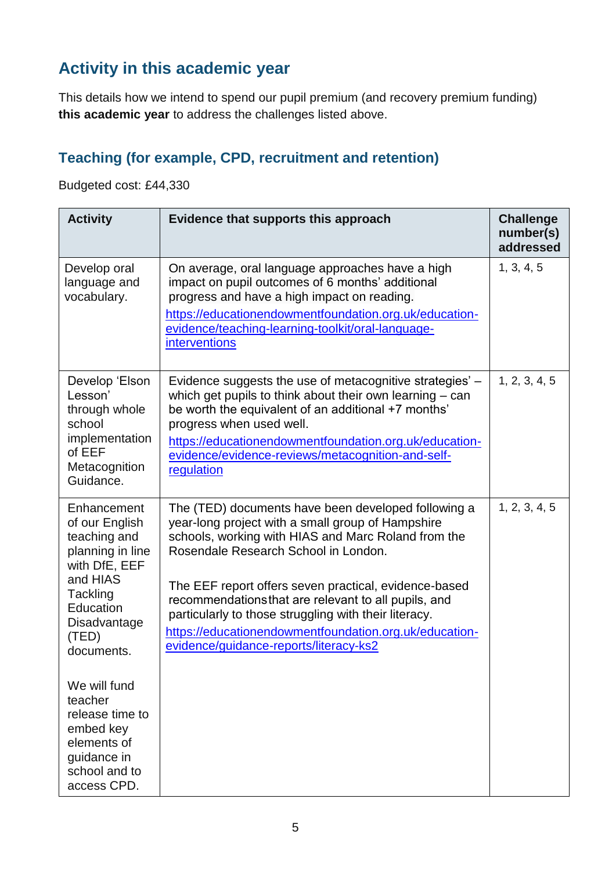### **Activity in this academic year**

This details how we intend to spend our pupil premium (and recovery premium funding) **this academic year** to address the challenges listed above.

### **Teaching (for example, CPD, recruitment and retention)**

Budgeted cost: £44,330

| <b>Activity</b>                                                                                                                                                | Evidence that supports this approach                                                                                                                                                                                                                                                                                                                                                                                                                                                  | <b>Challenge</b><br>number(s)<br>addressed |
|----------------------------------------------------------------------------------------------------------------------------------------------------------------|---------------------------------------------------------------------------------------------------------------------------------------------------------------------------------------------------------------------------------------------------------------------------------------------------------------------------------------------------------------------------------------------------------------------------------------------------------------------------------------|--------------------------------------------|
| Develop oral<br>language and<br>vocabulary.                                                                                                                    | On average, oral language approaches have a high<br>impact on pupil outcomes of 6 months' additional<br>progress and have a high impact on reading.<br>https://educationendowmentfoundation.org.uk/education-<br>evidence/teaching-learning-toolkit/oral-language-<br><b>interventions</b>                                                                                                                                                                                            | 1, 3, 4, 5                                 |
| Develop 'Elson<br>Lesson'<br>through whole<br>school<br>implementation<br>of EEF<br>Metacognition<br>Guidance.                                                 | Evidence suggests the use of metacognitive strategies' -<br>which get pupils to think about their own learning $-$ can<br>be worth the equivalent of an additional +7 months'<br>progress when used well.<br>https://educationendowmentfoundation.org.uk/education-<br>evidence/evidence-reviews/metacognition-and-self-<br>regulation                                                                                                                                                | 1, 2, 3, 4, 5                              |
| Enhancement<br>of our English<br>teaching and<br>planning in line<br>with DfE, EEF<br>and HIAS<br>Tackling<br>Education<br>Disadvantage<br>(TED)<br>documents. | The (TED) documents have been developed following a<br>year-long project with a small group of Hampshire<br>schools, working with HIAS and Marc Roland from the<br>Rosendale Research School in London.<br>The EEF report offers seven practical, evidence-based<br>recommendations that are relevant to all pupils, and<br>particularly to those struggling with their literacy.<br>https://educationendowmentfoundation.org.uk/education-<br>evidence/guidance-reports/literacy-ks2 | 1, 2, 3, 4, 5                              |
| We will fund<br>teacher<br>release time to<br>embed key<br>elements of<br>guidance in<br>school and to<br>access CPD.                                          |                                                                                                                                                                                                                                                                                                                                                                                                                                                                                       |                                            |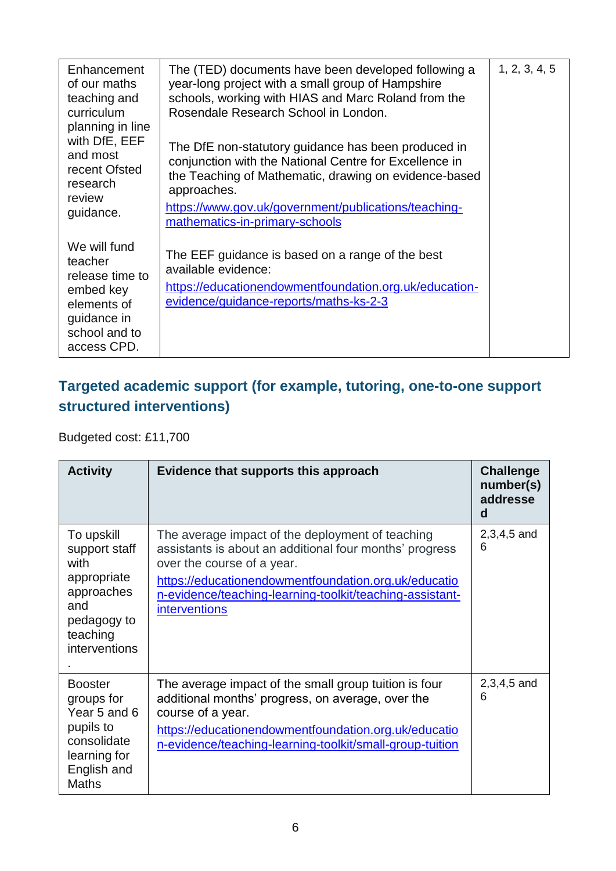| Enhancement<br>of our maths<br>teaching and<br>curriculum<br>planning in line<br>with DfE, EEF<br>and most<br>recent Ofsted<br>research<br>review<br>guidance. | The (TED) documents have been developed following a<br>year-long project with a small group of Hampshire<br>schools, working with HIAS and Marc Roland from the<br>Rosendale Research School in London.<br>The DfE non-statutory guidance has been produced in<br>conjunction with the National Centre for Excellence in<br>the Teaching of Mathematic, drawing on evidence-based<br>approaches.<br>https://www.gov.uk/government/publications/teaching-<br>mathematics-in-primary-schools | 1, 2, 3, 4, 5 |
|----------------------------------------------------------------------------------------------------------------------------------------------------------------|--------------------------------------------------------------------------------------------------------------------------------------------------------------------------------------------------------------------------------------------------------------------------------------------------------------------------------------------------------------------------------------------------------------------------------------------------------------------------------------------|---------------|
| We will fund<br>teacher<br>release time to<br>embed key<br>elements of<br>guidance in<br>school and to<br>access CPD.                                          | The EEF guidance is based on a range of the best<br>available evidence:<br>https://educationendowmentfoundation.org.uk/education-<br>evidence/guidance-reports/maths-ks-2-3                                                                                                                                                                                                                                                                                                                |               |

#### **Targeted academic support (for example, tutoring, one-to-one support structured interventions)**

Budgeted cost: £11,700

| <b>Activity</b>                                                                                                         | Evidence that supports this approach                                                                                                                                                                                                                                           | <b>Challenge</b><br>number(s)<br>addresse<br>d |
|-------------------------------------------------------------------------------------------------------------------------|--------------------------------------------------------------------------------------------------------------------------------------------------------------------------------------------------------------------------------------------------------------------------------|------------------------------------------------|
| To upskill<br>support staff<br>with<br>appropriate<br>approaches<br>and<br>pedagogy to<br>teaching<br>interventions     | The average impact of the deployment of teaching<br>assistants is about an additional four months' progress<br>over the course of a year.<br>https://educationendowmentfoundation.org.uk/educatio<br>n-evidence/teaching-learning-toolkit/teaching-assistant-<br>interventions | $2,3,4,5$ and<br>6                             |
| <b>Booster</b><br>groups for<br>Year 5 and 6<br>pupils to<br>consolidate<br>learning for<br>English and<br><b>Maths</b> | The average impact of the small group tuition is four<br>additional months' progress, on average, over the<br>course of a year.<br>https://educationendowmentfoundation.org.uk/educatio<br>n-evidence/teaching-learning-toolkit/small-group-tuition                            | $2,3,4,5$ and<br>6                             |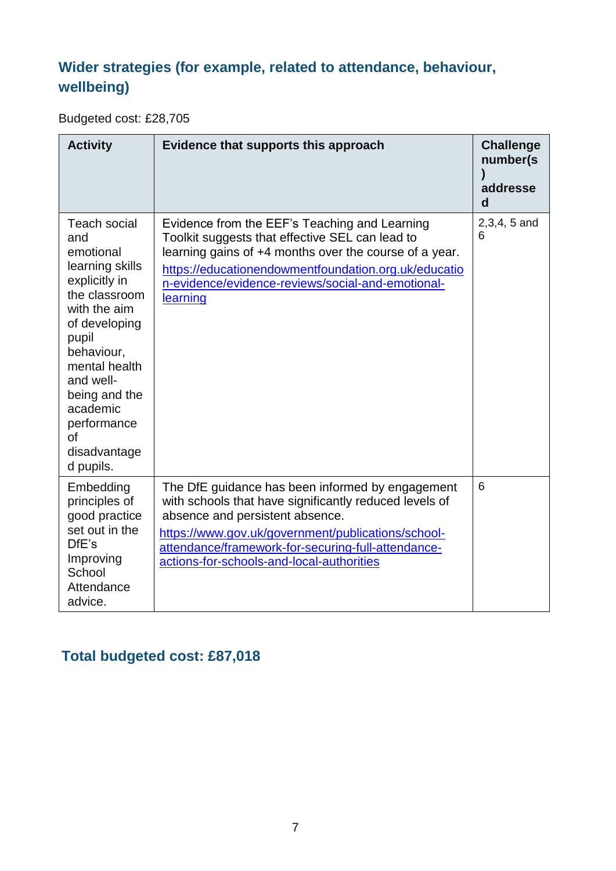### **Wider strategies (for example, related to attendance, behaviour, wellbeing)**

Budgeted cost: £28,705

| <b>Activity</b>                                                                                                                                                                                                                                                          | Evidence that supports this approach                                                                                                                                                                                                                                                                   | <b>Challenge</b><br>number(s)<br>addresse<br>d |
|--------------------------------------------------------------------------------------------------------------------------------------------------------------------------------------------------------------------------------------------------------------------------|--------------------------------------------------------------------------------------------------------------------------------------------------------------------------------------------------------------------------------------------------------------------------------------------------------|------------------------------------------------|
| <b>Teach social</b><br>and<br>emotional<br>learning skills<br>explicitly in<br>the classroom<br>with the aim<br>of developing<br>pupil<br>behaviour,<br>mental health<br>and well-<br>being and the<br>academic<br>performance<br><b>of</b><br>disadvantage<br>d pupils. | Evidence from the EEF's Teaching and Learning<br>Toolkit suggests that effective SEL can lead to<br>learning gains of +4 months over the course of a year.<br>https://educationendowmentfoundation.org.uk/educatio<br>n-evidence/evidence-reviews/social-and-emotional-<br>learning                    | $2,3,4,5$ and<br>6                             |
| Embedding<br>principles of<br>good practice<br>set out in the<br>DfE's<br>Improving<br>School<br>Attendance<br>advice.                                                                                                                                                   | The DfE guidance has been informed by engagement<br>with schools that have significantly reduced levels of<br>absence and persistent absence.<br>https://www.gov.uk/government/publications/school-<br>attendance/framework-for-securing-full-attendance-<br>actions-for-schools-and-local-authorities | 6                                              |

### **Total budgeted cost: £87,018**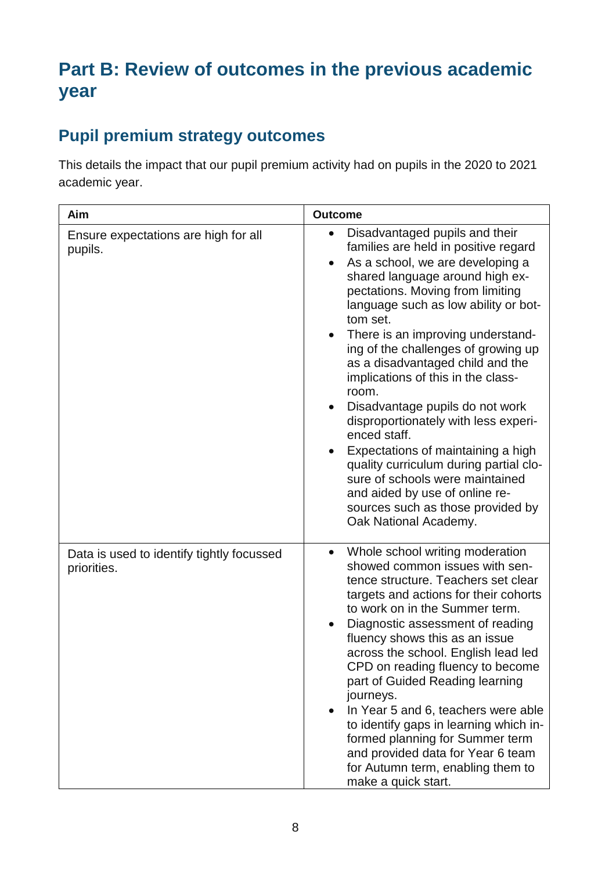## **Part B: Review of outcomes in the previous academic year**

### **Pupil premium strategy outcomes**

This details the impact that our pupil premium activity had on pupils in the 2020 to 2021 academic year.

| Aim                                                      | <b>Outcome</b>                                                                                                                                                                                                                                                                                                                                                                                                                                                                                                                                                                                                                                                                                                                                            |
|----------------------------------------------------------|-----------------------------------------------------------------------------------------------------------------------------------------------------------------------------------------------------------------------------------------------------------------------------------------------------------------------------------------------------------------------------------------------------------------------------------------------------------------------------------------------------------------------------------------------------------------------------------------------------------------------------------------------------------------------------------------------------------------------------------------------------------|
| Ensure expectations are high for all<br>pupils.          | Disadvantaged pupils and their<br>$\bullet$<br>families are held in positive regard<br>As a school, we are developing a<br>$\bullet$<br>shared language around high ex-<br>pectations. Moving from limiting<br>language such as low ability or bot-<br>tom set.<br>There is an improving understand-<br>$\bullet$<br>ing of the challenges of growing up<br>as a disadvantaged child and the<br>implications of this in the class-<br>room.<br>Disadvantage pupils do not work<br>disproportionately with less experi-<br>enced staff.<br>Expectations of maintaining a high<br>quality curriculum during partial clo-<br>sure of schools were maintained<br>and aided by use of online re-<br>sources such as those provided by<br>Oak National Academy. |
| Data is used to identify tightly focussed<br>priorities. | Whole school writing moderation<br>$\bullet$<br>showed common issues with sen-<br>tence structure. Teachers set clear<br>targets and actions for their cohorts<br>to work on in the Summer term.<br>Diagnostic assessment of reading<br>fluency shows this as an issue<br>across the school. English lead led<br>CPD on reading fluency to become<br>part of Guided Reading learning<br>journeys.<br>In Year 5 and 6, teachers were able<br>$\bullet$<br>to identify gaps in learning which in-<br>formed planning for Summer term<br>and provided data for Year 6 team<br>for Autumn term, enabling them to<br>make a quick start.                                                                                                                       |